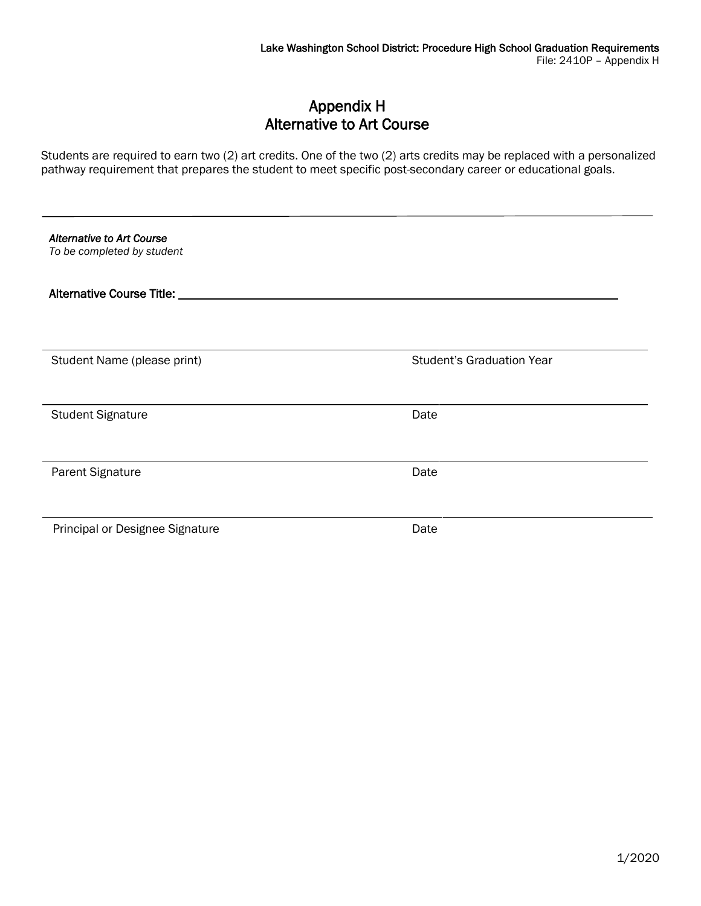## Appendix H Alternative to Art Course

Students are required to earn two (2) art credits. One of the two (2) arts credits may be replaced with a personalized pathway requirement that prepares the student to meet specific post-secondary career or educational goals.

| <b>Alternative to Art Course</b><br>To be completed by student |                                  |
|----------------------------------------------------------------|----------------------------------|
| Alternative Course Title: 1990                                 |                                  |
|                                                                |                                  |
| Student Name (please print)                                    | <b>Student's Graduation Year</b> |
|                                                                |                                  |
| <b>Student Signature</b>                                       | Date                             |
| Parent Signature                                               | Date                             |
|                                                                |                                  |
| Principal or Designee Signature                                | Date                             |